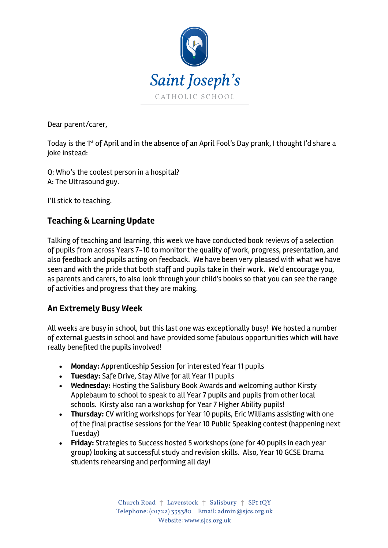

Dear parent/carer,

Today is the 1<sup>st</sup> of April and in the absence of an April Fool's Day prank, I thought I'd share a joke instead:

Q: Who's the coolest person in a hospital? A: The Ultrasound guy.

I'll stick to teaching.

# **Teaching & Learning Update**

Talking of teaching and learning, this week we have conducted book reviews of a selection of pupils from across Years 7-10 to monitor the quality of work, progress, presentation, and also feedback and pupils acting on feedback. We have been very pleased with what we have seen and with the pride that both staff and pupils take in their work. We'd encourage you, as parents and carers, to also look through your child's books so that you can see the range of activities and progress that they are making.

#### **An Extremely Busy Week**

All weeks are busy in school, but this last one was exceptionally busy! We hosted a number of external guests in school and have provided some fabulous opportunities which will have really benefited the pupils involved!

- **Monday:** Apprenticeship Session for interested Year 11 pupils
- **Tuesday:** Safe Drive, Stay Alive for all Year 11 pupils
- **Wednesday:** Hosting the Salisbury Book Awards and welcoming author Kirsty Applebaum to school to speak to all Year 7 pupils and pupils from other local schools. Kirsty also ran a workshop for Year 7 Higher Ability pupils!
- **Thursday:** CV writing workshops for Year 10 pupils, Eric Williams assisting with one of the final practise sessions for the Year 10 Public Speaking contest (happening next Tuesday)
- **Friday:** Strategies to Success hosted 5 workshops (one for 40 pupils in each year group) looking at successful study and revision skills. Also, Year 10 GCSE Drama students rehearsing and performing all day!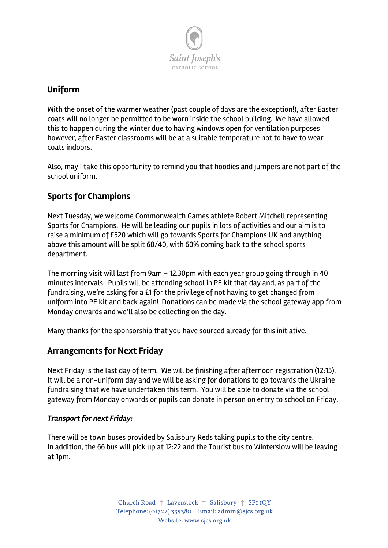

## **Uniform**

With the onset of the warmer weather (past couple of days are the exception!), after Easter coats will no longer be permitted to be worn inside the school building. We have allowed this to happen during the winter due to having windows open for ventilation purposes however, after Easter classrooms will be at a suitable temperature not to have to wear coats indoors.

Also, may I take this opportunity to remind you that hoodies and jumpers are not part of the school uniform.

# **Sports for Champions**

Next Tuesday, we welcome Commonwealth Games athlete Robert Mitchell representing Sports for Champions. He will be leading our pupils in lots of activities and our aim is to raise a minimum of £520 which will go towards Sports for Champions UK and anything above this amount will be split 60/40, with 60% coming back to the school sports department.

The morning visit will last from 9am – 12.30pm with each year group going through in 40 minutes intervals. Pupils will be attending school in PE kit that day and, as part of the fundraising, we're asking for a £1 for the privilege of not having to get changed from uniform into PE kit and back again! Donations can be made via the school gateway app from Monday onwards and we'll also be collecting on the day.

Many thanks for the sponsorship that you have sourced already for this initiative.

## **Arrangements for Next Friday**

Next Friday is the last day of term. We will be finishing after afternoon registration (12:15). It will be a non-uniform day and we will be asking for donations to go towards the Ukraine fundraising that we have undertaken this term. You will be able to donate via the school gateway from Monday onwards or pupils can donate in person on entry to school on Friday.

#### *Transport for next Friday:*

There will be town buses provided by Salisbury Reds taking pupils to the city centre. In addition, the 66 bus will pick up at 12:22 and the Tourist bus to Winterslow will be leaving at 1pm.